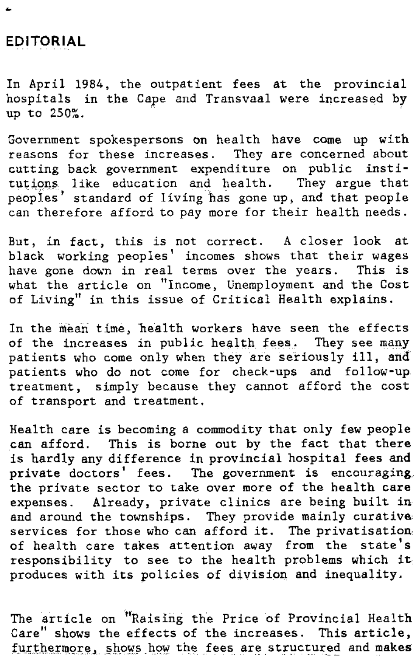## **EDITORIAL**

In April 1984, the outpatient fees at the provincial hospitals in the Cape and Transvaal were increased by up to 250%.

Government spokespersons on health have come up with reasons for these increases. They are concerned about cutting back government expenditure on public institutions like education and health. They argue that peoples' standard of living has gone up, and that people can therefore afford to pay more for their health needs.

But, in fact, this is not correct. A closer look at black working peoples' incomes shows that their wages have gone down in real terms over the years. This is what the article on "Income, Unemployment and the Cost of Living" in this issue of Critical Health explains.

In the mean time, health workers have seen the effects of the increases in public health fees. They see many patients who come only when they are seriously ill, and patients who do not come for check-ups and follow-up treatment, simply because they cannot afford the cost of transport and treatment.

Health care is becoming a commodity that only few people can afford. This is borne out by the fact that there is hardly any difference in provincial hospital fees and private doctors' fees. The government is encouraging the private sector to take over more of the health care expenses. Already, private clinics are being built in and around the townships. They provide mainly curative services for those who can afford it. The privatisation of health care takes attention away from the state's responsibility to see to the health problems which it produces with its policies of division and inequality.

The article on "Raising the Price of Provincial Health Care" shows the effects of the increases. This article, furthermore, shows how the fees are structured and makes